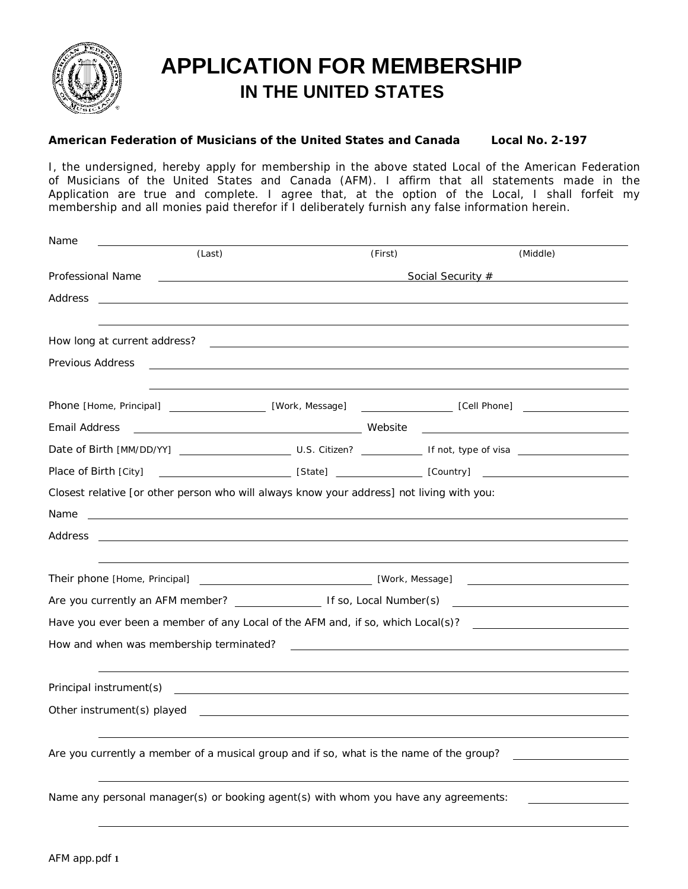

## **APPLICATION FOR MEMBERSHIP IN THE UNITED STATES**

**American Federation of Musicians of the United States and Canada Local No. 2-197**

I, the undersigned, hereby apply for membership in the above stated Local of the American Federation of Musicians of the United States and Canada (AFM). I affirm that all statements made in the Application are true and complete. I agree that, at the option of the Local, I shall forfeit my membership and all monies paid therefor if I deliberately furnish any false information herein.

| Name                                                                                                     |                                                                                                                                                                                                                                                          |         |          |
|----------------------------------------------------------------------------------------------------------|----------------------------------------------------------------------------------------------------------------------------------------------------------------------------------------------------------------------------------------------------------|---------|----------|
|                                                                                                          | (Last)                                                                                                                                                                                                                                                   | (First) | (Middle) |
|                                                                                                          | Professional Name and the contract of the contract of the contract of the contract of the contract of the contract of the contract of the contract of the contract of the contract of the contract of the contract of the cont<br>Social Security # 2009 |         |          |
| Address                                                                                                  |                                                                                                                                                                                                                                                          |         |          |
|                                                                                                          |                                                                                                                                                                                                                                                          |         |          |
|                                                                                                          |                                                                                                                                                                                                                                                          |         |          |
| Previous Address                                                                                         | <u> 1980 - Johann Barn, amerikansk politiker (d. 1980)</u>                                                                                                                                                                                               |         |          |
|                                                                                                          |                                                                                                                                                                                                                                                          |         |          |
|                                                                                                          |                                                                                                                                                                                                                                                          |         |          |
| Email Address                                                                                            |                                                                                                                                                                                                                                                          |         |          |
|                                                                                                          |                                                                                                                                                                                                                                                          |         |          |
|                                                                                                          |                                                                                                                                                                                                                                                          |         |          |
| Closest relative [or other person who will always know your address] not living with you:                |                                                                                                                                                                                                                                                          |         |          |
| Name                                                                                                     |                                                                                                                                                                                                                                                          |         |          |
| Address                                                                                                  |                                                                                                                                                                                                                                                          |         |          |
|                                                                                                          |                                                                                                                                                                                                                                                          |         |          |
|                                                                                                          |                                                                                                                                                                                                                                                          |         |          |
| Are you currently an AFM member? The Manuscript of So, Local Number(s) Are you currently an AFM member?  |                                                                                                                                                                                                                                                          |         |          |
| Have you ever been a member of any Local of the AFM and, if so, which Local(s)?                          |                                                                                                                                                                                                                                                          |         |          |
| How and when was membership terminated?<br><u> 1989 - Johann Barn, mars an t-Amerikaansk politiker (</u> |                                                                                                                                                                                                                                                          |         |          |
|                                                                                                          | and the control of the control of the control of the control of the control of the control of the control of the                                                                                                                                         |         |          |
|                                                                                                          |                                                                                                                                                                                                                                                          |         |          |
|                                                                                                          |                                                                                                                                                                                                                                                          |         |          |
|                                                                                                          |                                                                                                                                                                                                                                                          |         |          |
| Are you currently a member of a musical group and if so, what is the name of the group?                  |                                                                                                                                                                                                                                                          |         |          |
|                                                                                                          |                                                                                                                                                                                                                                                          |         |          |
| Name any personal manager(s) or booking agent(s) with whom you have any agreements:                      |                                                                                                                                                                                                                                                          |         |          |
|                                                                                                          |                                                                                                                                                                                                                                                          |         |          |